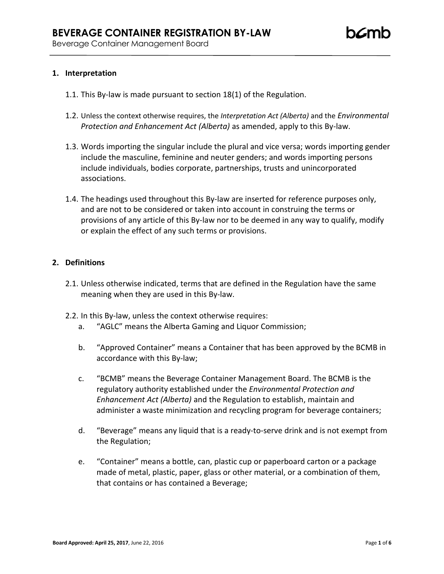## **1. Interpretation**

- 1.1. This By-law is made pursuant to section 18(1) of the Regulation.
- 1.2. Unless the context otherwise requires, the *Interpretation Act (Alberta)* and the *Environmental Protection and Enhancement Act (Alberta)* as amended, apply to this By-law.
- 1.3. Words importing the singular include the plural and vice versa; words importing gender include the masculine, feminine and neuter genders; and words importing persons include individuals, bodies corporate, partnerships, trusts and unincorporated associations.
- 1.4. The headings used throughout this By-law are inserted for reference purposes only, and are not to be considered or taken into account in construing the terms or provisions of any article of this By-law nor to be deemed in any way to qualify, modify or explain the effect of any such terms or provisions.

#### **2. Definitions**

- 2.1. Unless otherwise indicated, terms that are defined in the Regulation have the same meaning when they are used in this By-law.
- 2.2. In this By-law, unless the context otherwise requires:
	- a. "AGLC" means the Alberta Gaming and Liquor Commission;
	- b. "Approved Container" means a Container that has been approved by the BCMB in accordance with this By-law;
	- c. "BCMB" means the Beverage Container Management Board. The BCMB is the regulatory authority established under the *Environmental Protection and Enhancement Act (Alberta)* and the Regulation to establish, maintain and administer a waste minimization and recycling program for beverage containers;
	- d. "Beverage" means any liquid that is a ready-to-serve drink and is not exempt from the Regulation;
	- e. "Container" means a bottle, can, plastic cup or paperboard carton or a package made of metal, plastic, paper, glass or other material, or a combination of them, that contains or has contained a Beverage;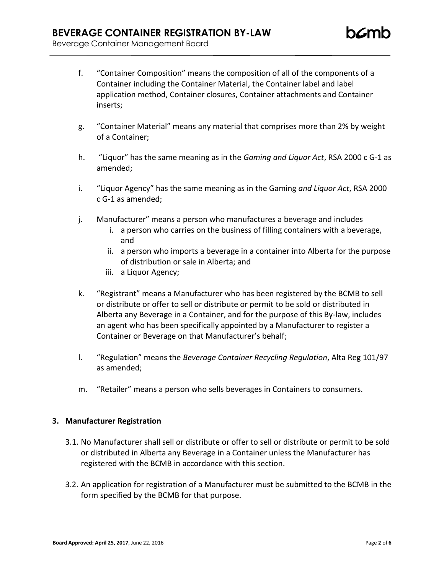- f. "Container Composition" means the composition of all of the components of a Container including the Container Material, the Container label and label application method, Container closures, Container attachments and Container inserts;
- g. "Container Material" means any material that comprises more than 2% by weight of a Container;
- h. "Liquor" has the same meaning as in the *Gaming and Liquor Act*, RSA 2000 c G-1 as amended;
- i. "Liquor Agency" has the same meaning as in the Gaming *and Liquor Act*, RSA 2000 c G-1 as amended;
- j. Manufacturer" means a person who manufactures a beverage and includes
	- i. a person who carries on the business of filling containers with a beverage, and
	- ii. a person who imports a beverage in a container into Alberta for the purpose of distribution or sale in Alberta; and
	- iii. a Liquor Agency;
- k. "Registrant" means a Manufacturer who has been registered by the BCMB to sell or distribute or offer to sell or distribute or permit to be sold or distributed in Alberta any Beverage in a Container, and for the purpose of this By-law, includes an agent who has been specifically appointed by a Manufacturer to register a Container or Beverage on that Manufacturer's behalf;
- l. "Regulation" means the *Beverage Container Recycling Regulation*, Alta Reg 101/97 as amended;
- m. "Retailer" means a person who sells beverages in Containers to consumers.

#### **3. Manufacturer Registration**

- 3.1. No Manufacturer shall sell or distribute or offer to sell or distribute or permit to be sold or distributed in Alberta any Beverage in a Container unless the Manufacturer has registered with the BCMB in accordance with this section.
- 3.2. An application for registration of a Manufacturer must be submitted to the BCMB in the form specified by the BCMB for that purpose.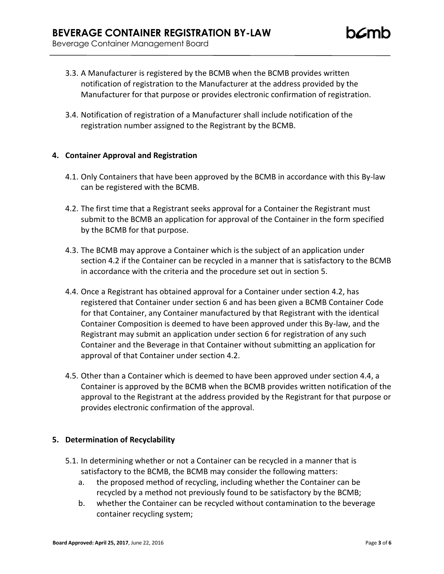- 3.3. A Manufacturer is registered by the BCMB when the BCMB provides written notification of registration to the Manufacturer at the address provided by the Manufacturer for that purpose or provides electronic confirmation of registration.
- 3.4. Notification of registration of a Manufacturer shall include notification of the registration number assigned to the Registrant by the BCMB.

# **4. Container Approval and Registration**

- 4.1. Only Containers that have been approved by the BCMB in accordance with this By-law can be registered with the BCMB.
- 4.2. The first time that a Registrant seeks approval for a Container the Registrant must submit to the BCMB an application for approval of the Container in the form specified by the BCMB for that purpose.
- 4.3. The BCMB may approve a Container which is the subject of an application under section 4.2 if the Container can be recycled in a manner that is satisfactory to the BCMB in accordance with the criteria and the procedure set out in section 5.
- 4.4. Once a Registrant has obtained approval for a Container under section 4.2, has registered that Container under section 6 and has been given a BCMB Container Code for that Container, any Container manufactured by that Registrant with the identical Container Composition is deemed to have been approved under this By-law, and the Registrant may submit an application under section 6 for registration of any such Container and the Beverage in that Container without submitting an application for approval of that Container under section 4.2.
- 4.5. Other than a Container which is deemed to have been approved under section 4.4, a Container is approved by the BCMB when the BCMB provides written notification of the approval to the Registrant at the address provided by the Registrant for that purpose or provides electronic confirmation of the approval.

## **5. Determination of Recyclability**

- 5.1. In determining whether or not a Container can be recycled in a manner that is satisfactory to the BCMB, the BCMB may consider the following matters:
	- a. the proposed method of recycling, including whether the Container can be recycled by a method not previously found to be satisfactory by the BCMB;
	- b. whether the Container can be recycled without contamination to the beverage container recycling system;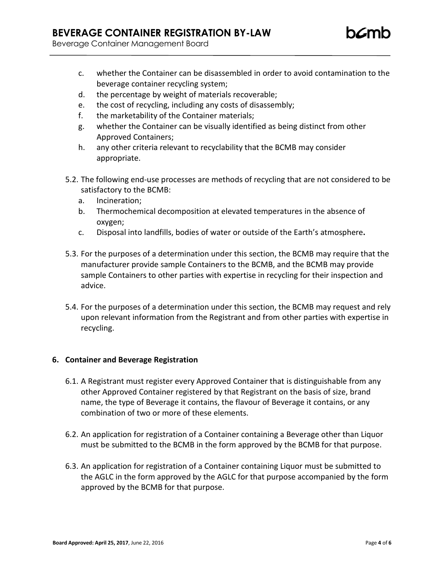Beverage Container Management Board

- c. whether the Container can be disassembled in order to avoid contamination to the beverage container recycling system;
- d. the percentage by weight of materials recoverable;
- e. the cost of recycling, including any costs of disassembly;
- f. the marketability of the Container materials;
- g. whether the Container can be visually identified as being distinct from other Approved Containers;
- h. any other criteria relevant to recyclability that the BCMB may consider appropriate.
- 5.2. The following end-use processes are methods of recycling that are not considered to be satisfactory to the BCMB:
	- a. Incineration;
	- b. Thermochemical decomposition at elevated temperatures in the absence of oxygen;
	- c. Disposal into landfills, bodies of water or outside of the Earth's atmosphere**.**
- 5.3. For the purposes of a determination under this section, the BCMB may require that the manufacturer provide sample Containers to the BCMB, and the BCMB may provide sample Containers to other parties with expertise in recycling for their inspection and advice.
- 5.4. For the purposes of a determination under this section, the BCMB may request and rely upon relevant information from the Registrant and from other parties with expertise in recycling.

## **6. Container and Beverage Registration**

- 6.1. A Registrant must register every Approved Container that is distinguishable from any other Approved Container registered by that Registrant on the basis of size, brand name, the type of Beverage it contains, the flavour of Beverage it contains, or any combination of two or more of these elements.
- 6.2. An application for registration of a Container containing a Beverage other than Liquor must be submitted to the BCMB in the form approved by the BCMB for that purpose.
- 6.3. An application for registration of a Container containing Liquor must be submitted to the AGLC in the form approved by the AGLC for that purpose accompanied by the form approved by the BCMB for that purpose.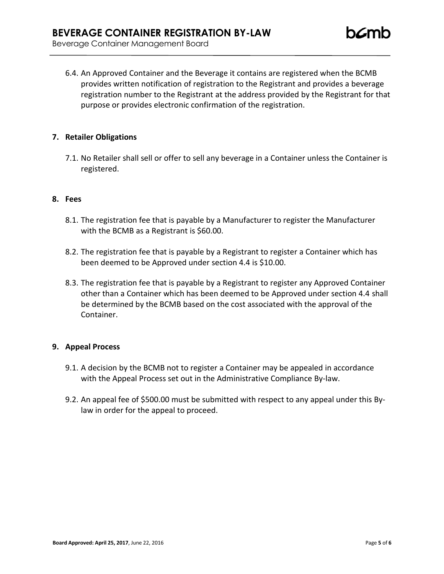6.4. An Approved Container and the Beverage it contains are registered when the BCMB provides written notification of registration to the Registrant and provides a beverage registration number to the Registrant at the address provided by the Registrant for that purpose or provides electronic confirmation of the registration.

#### **7. Retailer Obligations**

7.1. No Retailer shall sell or offer to sell any beverage in a Container unless the Container is registered.

#### **8. Fees**

- 8.1. The registration fee that is payable by a Manufacturer to register the Manufacturer with the BCMB as a Registrant is \$60.00.
- 8.2. The registration fee that is payable by a Registrant to register a Container which has been deemed to be Approved under section 4.4 is \$10.00.
- 8.3. The registration fee that is payable by a Registrant to register any Approved Container other than a Container which has been deemed to be Approved under section 4.4 shall be determined by the BCMB based on the cost associated with the approval of the Container.

## **9. Appeal Process**

- 9.1. A decision by the BCMB not to register a Container may be appealed in accordance with the Appeal Process set out in the Administrative Compliance By-law.
- 9.2. An appeal fee of \$500.00 must be submitted with respect to any appeal under this Bylaw in order for the appeal to proceed.